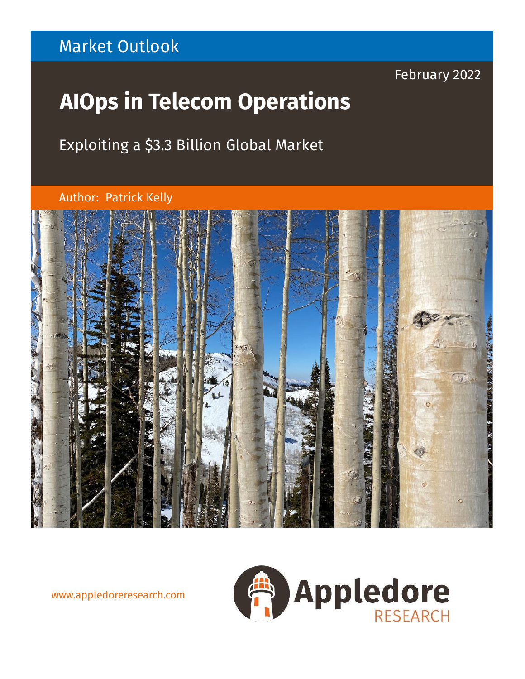# Market Outlook

# February 2022

# **AIOps in Telecom Operations**

Exploiting a \$3.3 Billion Global Market

Author: Patrick Kelly



www.appledoreresearch.com

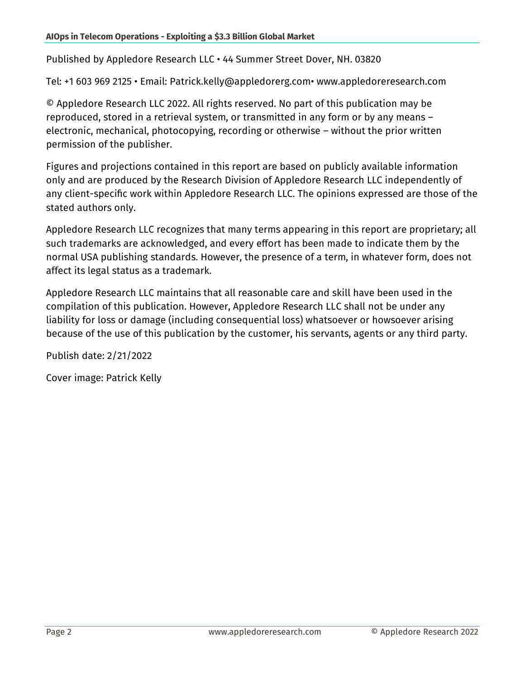Published by Appledore Research LLC • 44 Summer Street Dover, NH. 03820

Tel: +1 603 969 2125 • Email: Patrick.kelly@appledorerg.com• www.appledoreresearch.com

© Appledore Research LLC 2022. All rights reserved. No part of this publication may be reproduced, stored in a retrieval system, or transmitted in any form or by any means – electronic, mechanical, photocopying, recording or otherwise – without the prior written permission of the publisher.

Figures and projections contained in this report are based on publicly available information only and are produced by the Research Division of Appledore Research LLC independently of any client-specific work within Appledore Research LLC. The opinions expressed are those of the stated authors only.

Appledore Research LLC recognizes that many terms appearing in this report are proprietary; all such trademarks are acknowledged, and every effort has been made to indicate them by the normal USA publishing standards. However, the presence of a term, in whatever form, does not affect its legal status as a trademark.

Appledore Research LLC maintains that all reasonable care and skill have been used in the compilation of this publication. However, Appledore Research LLC shall not be under any liability for loss or damage (including consequential loss) whatsoever or howsoever arising because of the use of this publication by the customer, his servants, agents or any third party.

Publish date: 2/21/2022

Cover image: Patrick Kelly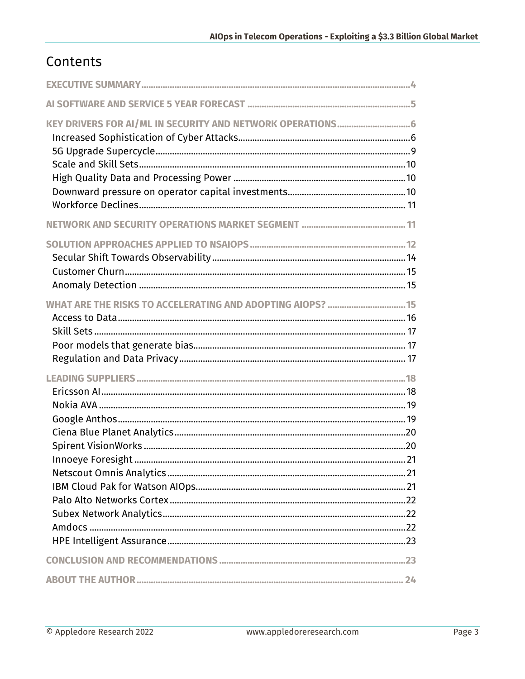# Contents

| WHAT ARE THE RISKS TO ACCELERATING AND ADOPTING AIOPS?  15 |  |
|------------------------------------------------------------|--|
|                                                            |  |
|                                                            |  |
|                                                            |  |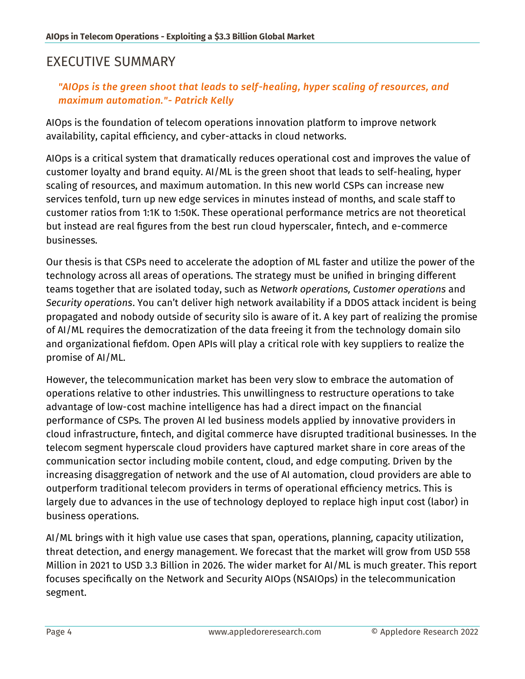## <span id="page-3-0"></span>EXECUTIVE SUMMARY

#### *"AIOps is the green shoot that leads to self-healing, hyper scaling of resources, and maximum automation."- Patrick Kelly*

AIOps is the foundation of telecom operations innovation platform to improve network availability, capital efficiency, and cyber-attacks in cloud networks.

AIOps is a critical system that dramatically reduces operational cost and improves the value of customer loyalty and brand equity. AI/ML is the green shoot that leads to self-healing, hyper scaling of resources, and maximum automation. In this new world CSPs can increase new services tenfold, turn up new edge services in minutes instead of months, and scale staff to customer ratios from 1:1K to 1:50K. These operational performance metrics are not theoretical but instead are real figures from the best run cloud hyperscaler, fintech, and e-commerce businesses.

Our thesis is that CSPs need to accelerate the adoption of ML faster and utilize the power of the technology across all areas of operations. The strategy must be unified in bringing different teams together that are isolated today, such as *Network operations, Customer operations* and *Security operations*. You can't deliver high network availability if a DDOS attack incident is being propagated and nobody outside of security silo is aware of it. A key part of realizing the promise of AI/ML requires the democratization of the data freeing it from the technology domain silo and organizational fiefdom. Open APIs will play a critical role with key suppliers to realize the promise of AI/ML.

However, the telecommunication market has been very slow to embrace the automation of operations relative to other industries. This unwillingness to restructure operations to take advantage of low-cost machine intelligence has had a direct impact on the financial performance of CSPs. The proven AI led business models applied by innovative providers in cloud infrastructure, fintech, and digital commerce have disrupted traditional businesses. In the telecom segment hyperscale cloud providers have captured market share in core areas of the communication sector including mobile content, cloud, and edge computing. Driven by the increasing disaggregation of network and the use of AI automation, cloud providers are able to outperform traditional telecom providers in terms of operational efficiency metrics. This is largely due to advances in the use of technology deployed to replace high input cost (labor) in business operations.

AI/ML brings with it high value use cases that span, operations, planning, capacity utilization, threat detection, and energy management. We forecast that the market will grow from USD 558 Million in 2021 to USD 3.3 Billion in 2026. The wider market for AI/ML is much greater. This report focuses specifically on the Network and Security AIOps (NSAIOps) in the telecommunication segment.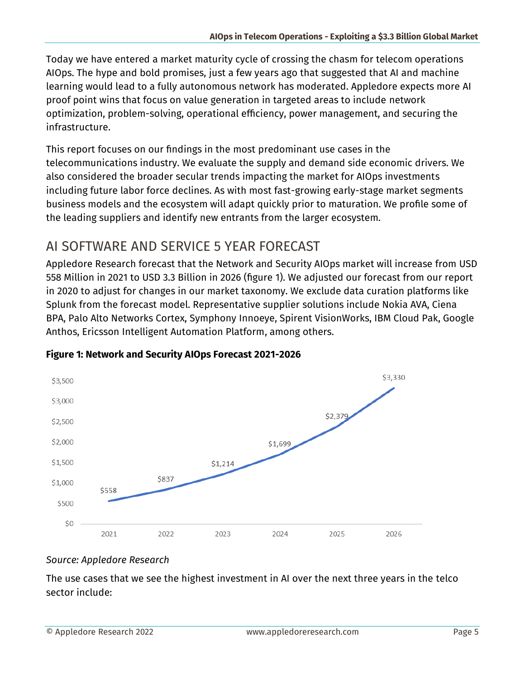Today we have entered a market maturity cycle of crossing the chasm for telecom operations AIOps. The hype and bold promises, just a few years ago that suggested that AI and machine learning would lead to a fully autonomous network has moderated. Appledore expects more AI proof point wins that focus on value generation in targeted areas to include network optimization, problem-solving, operational efficiency, power management, and securing the infrastructure.

This report focuses on our findings in the most predominant use cases in the telecommunications industry. We evaluate the supply and demand side economic drivers. We also considered the broader secular trends impacting the market for AIOps investments including future labor force declines. As with most fast-growing early-stage market segments business models and the ecosystem will adapt quickly prior to maturation. We profile some of the leading suppliers and identify new entrants from the larger ecosystem.

# <span id="page-4-0"></span>AI SOFTWARE AND SERVICE 5 YEAR FORECAST

Appledore Research forecast that the Network and Security AIOps market will increase from USD 558 Million in 2021 to USD 3.3 Billion in 2026 (figure 1). We adjusted our forecast from our report in 2020 to adjust for changes in our market taxonomy. We exclude data curation platforms like Splunk from the forecast model. Representative supplier solutions include Nokia AVA, Ciena BPA, Palo Alto Networks Cortex, Symphony Innoeye, Spirent VisionWorks, IBM Cloud Pak, Google Anthos, Ericsson Intelligent Automation Platform, among others.



#### **Figure 1: Network and Security AIOps Forecast 2021-2026**

#### *Source: Appledore Research*

The use cases that we see the highest investment in AI over the next three years in the telco sector include: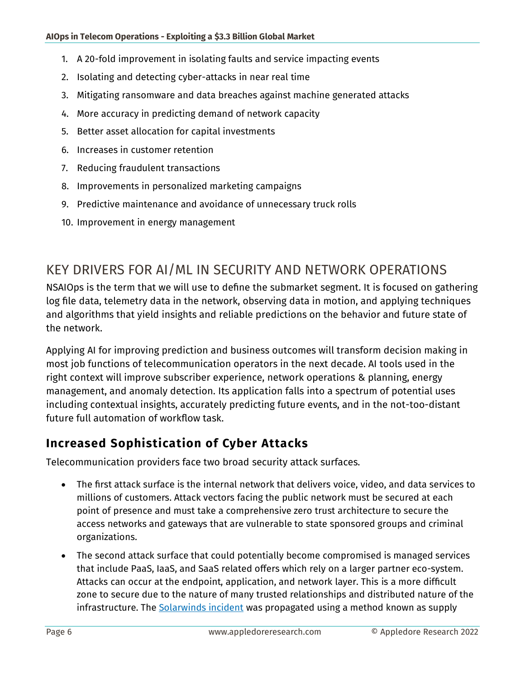- 1. A 20-fold improvement in isolating faults and service impacting events
- 2. Isolating and detecting cyber-attacks in near real time
- 3. Mitigating ransomware and data breaches against machine generated attacks
- 4. More accuracy in predicting demand of network capacity
- 5. Better asset allocation for capital investments
- 6. Increases in customer retention
- 7. Reducing fraudulent transactions
- 8. Improvements in personalized marketing campaigns
- 9. Predictive maintenance and avoidance of unnecessary truck rolls
- 10. Improvement in energy management

## <span id="page-5-0"></span>KEY DRIVERS FOR AI/ML IN SECURITY AND NETWORK OPERATIONS

NSAIOps is the term that we will use to define the submarket segment. It is focused on gathering log file data, telemetry data in the network, observing data in motion, and applying techniques and algorithms that yield insights and reliable predictions on the behavior and future state of the network.

Applying AI for improving prediction and business outcomes will transform decision making in most job functions of telecommunication operators in the next decade. AI tools used in the right context will improve subscriber experience, network operations & planning, energy management, and anomaly detection. Its application falls into a spectrum of potential uses including contextual insights, accurately predicting future events, and in the not-too-distant future full automation of workflow task.

#### <span id="page-5-1"></span>**Increased Sophistication of Cyber Attacks**

Telecommunication providers face two broad security attack surfaces.

- The first attack surface is the internal network that delivers voice, video, and data services to millions of customers. Attack vectors facing the public network must be secured at each point of presence and must take a comprehensive zero trust architecture to secure the access networks and gateways that are vulnerable to state sponsored groups and criminal organizations.
- The second attack surface that could potentially become compromised is managed services that include PaaS, IaaS, and SaaS related offers which rely on a larger partner eco-system. Attacks can occur at the endpoint, application, and network layer. This is a more difficult zone to secure due to the nature of many trusted relationships and distributed nature of the infrastructure. The [Solarwinds incident](https://www.sans.org/blog/what-you-need-to-know-about-the-solarwinds-supply-chain-attack/) was propagated using a method known as supply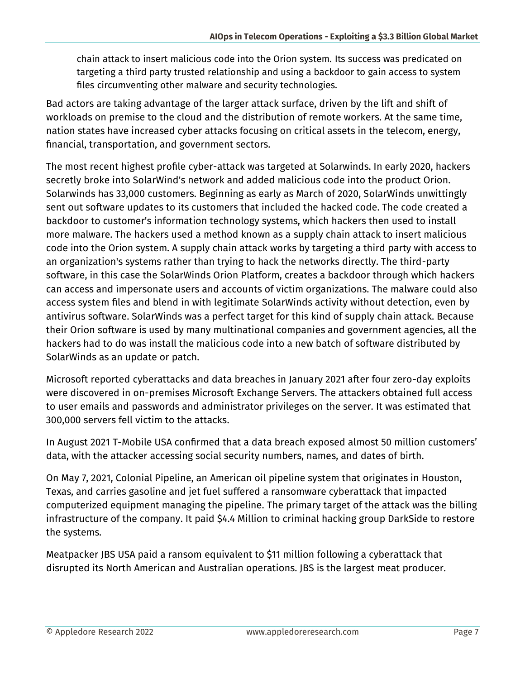chain attack to insert malicious code into the Orion system. Its success was predicated on targeting a third party trusted relationship and using a backdoor to gain access to system files circumventing other malware and security technologies.

Bad actors are taking advantage of the larger attack surface, driven by the lift and shift of workloads on premise to the cloud and the distribution of remote workers. At the same time, nation states have increased cyber attacks focusing on critical assets in the telecom, energy, financial, transportation, and government sectors.

The most recent highest profile cyber-attack was targeted at Solarwinds. In early 2020, hackers secretly broke into SolarWind's network and added malicious code into the product Orion. Solarwinds has 33,000 customers. Beginning as early as March of 2020, SolarWinds unwittingly sent out software updates to its customers that included the hacked code. The code created a backdoor to customer's information technology systems, which hackers then used to install more malware. The hackers used a method known as a supply chain attack to insert malicious code into the Orion system. A supply chain attack works by targeting a third party with access to an organization's systems rather than trying to hack the networks directly. The third-party software, in this case the SolarWinds Orion Platform, creates a backdoor through which hackers can access and impersonate users and accounts of victim organizations. The malware could also access system files and blend in with legitimate SolarWinds activity without detection, even by antivirus software. SolarWinds was a perfect target for this kind of supply chain attack. Because their Orion software is used by many multinational companies and government agencies, all the hackers had to do was install the malicious code into a new batch of software distributed by SolarWinds as an update or patch.

Microsoft reported cyberattacks and data breaches in January 2021 after four zero-day exploits were discovered in on-premises Microsoft Exchange Servers. The attackers obtained full access to user emails and passwords and administrator privileges on the server. It was estimated that 300,000 servers fell victim to the attacks.

In August 2021 T-Mobile USA confirmed that a data breach exposed almost 50 million customers' data, with the attacker accessing social security numbers, names, and dates of birth.

On May 7, 2021, Colonial Pipeline, an American oil pipeline system that originates in Houston, Texas, and carries gasoline and jet fuel suffered a ransomware cyberattack that impacted computerized equipment managing the pipeline. The primary target of the attack was the billing infrastructure of the company. It paid \$4.4 Million to criminal hacking group DarkSide to restore the systems.

Meatpacker JBS USA paid a ransom equivalent to \$11 million following a cyberattack that disrupted its North American and Australian operations. JBS is the largest meat producer.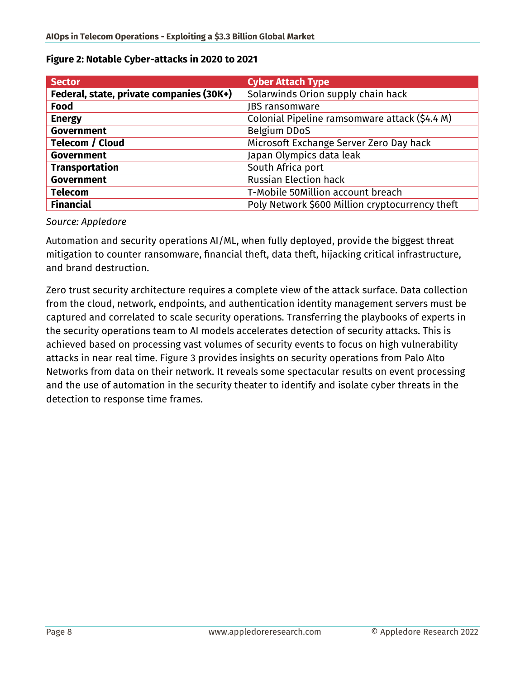| <b>Sector</b>                            | <b>Cyber Attach Type</b>                        |
|------------------------------------------|-------------------------------------------------|
| Federal, state, private companies (30K+) | Solarwinds Orion supply chain hack              |
| Food                                     | <b>JBS</b> ransomware                           |
| <b>Energy</b>                            | Colonial Pipeline ramsomware attack (\$4.4 M)   |
| <b>Government</b>                        | <b>Belgium DDoS</b>                             |
| <b>Telecom / Cloud</b>                   | Microsoft Exchange Server Zero Day hack         |
| <b>Government</b>                        | Japan Olympics data leak                        |
| <b>Transportation</b>                    | South Africa port                               |
| <b>Government</b>                        | <b>Russian Election hack</b>                    |
| <b>Telecom</b>                           | T-Mobile 50Million account breach               |
| <b>Financial</b>                         | Poly Network \$600 Million cryptocurrency theft |

#### **Figure 2: Notable Cyber-attacks in 2020 to 2021**

#### *Source: Appledore*

Automation and security operations AI/ML, when fully deployed, provide the biggest threat mitigation to counter ransomware, financial theft, data theft, hijacking critical infrastructure, and brand destruction.

Zero trust security architecture requires a complete view of the attack surface. Data collection from the cloud, network, endpoints, and authentication identity management servers must be captured and correlated to scale security operations. Transferring the playbooks of experts in the security operations team to AI models accelerates detection of security attacks. This is achieved based on processing vast volumes of security events to focus on high vulnerability attacks in near real time. Figure 3 provides insights on security operations from Palo Alto Networks from data on their network. It reveals some spectacular results on event processing and the use of automation in the security theater to identify and isolate cyber threats in the detection to response time frames.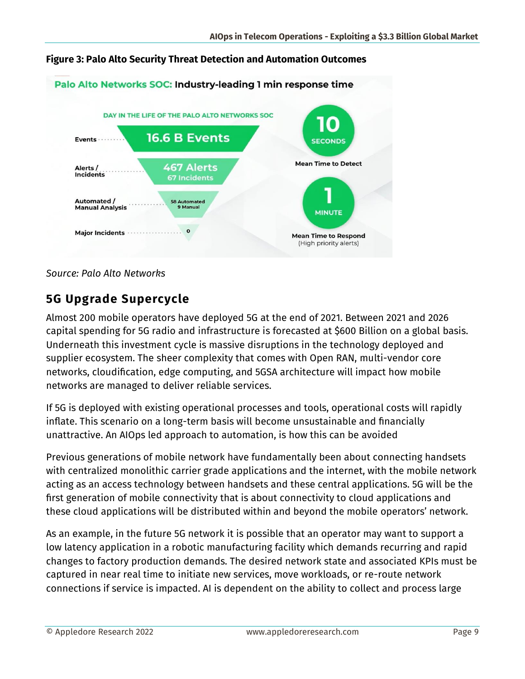

#### **Figure 3: Palo Alto Security Threat Detection and Automation Outcomes**

#### *Source: Palo Alto Networks*

#### <span id="page-8-0"></span>**5G Upgrade Supercycle**

Almost 200 mobile operators have deployed 5G at the end of 2021. Between 2021 and 2026 capital spending for 5G radio and infrastructure is forecasted at \$600 Billion on a global basis. Underneath this investment cycle is massive disruptions in the technology deployed and supplier ecosystem. The sheer complexity that comes with Open RAN, multi-vendor core networks, cloudification, edge computing, and 5GSA architecture will impact how mobile networks are managed to deliver reliable services.

If 5G is deployed with existing operational processes and tools, operational costs will rapidly inflate. This scenario on a long-term basis will become unsustainable and financially unattractive. An AIOps led approach to automation, is how this can be avoided

Previous generations of mobile network have fundamentally been about connecting handsets with centralized monolithic carrier grade applications and the internet, with the mobile network acting as an access technology between handsets and these central applications. 5G will be the first generation of mobile connectivity that is about connectivity to cloud applications and these cloud applications will be distributed within and beyond the mobile operators' network.

As an example, in the future 5G network it is possible that an operator may want to support a low latency application in a robotic manufacturing facility which demands recurring and rapid changes to factory production demands. The desired network state and associated KPIs must be captured in near real time to initiate new services, move workloads, or re-route network connections if service is impacted. AI is dependent on the ability to collect and process large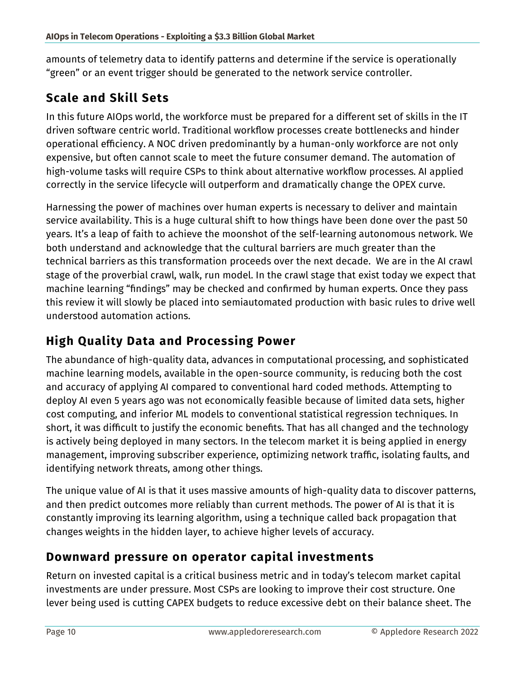amounts of telemetry data to identify patterns and determine if the service is operationally "green" or an event trigger should be generated to the network service controller.

## <span id="page-9-0"></span>**Scale and Skill Sets**

In this future AIOps world, the workforce must be prepared for a different set of skills in the IT driven software centric world. Traditional workflow processes create bottlenecks and hinder operational efficiency. A NOC driven predominantly by a human-only workforce are not only expensive, but often cannot scale to meet the future consumer demand. The automation of high-volume tasks will require CSPs to think about alternative workflow processes. AI applied correctly in the service lifecycle will outperform and dramatically change the OPEX curve.

Harnessing the power of machines over human experts is necessary to deliver and maintain service availability. This is a huge cultural shift to how things have been done over the past 50 years. It's a leap of faith to achieve the moonshot of the self-learning autonomous network. We both understand and acknowledge that the cultural barriers are much greater than the technical barriers as this transformation proceeds over the next decade. We are in the AI crawl stage of the proverbial crawl, walk, run model. In the crawl stage that exist today we expect that machine learning "findings" may be checked and confirmed by human experts. Once they pass this review it will slowly be placed into semiautomated production with basic rules to drive well understood automation actions.

## <span id="page-9-1"></span>**High Quality Data and Processing Power**

The abundance of high-quality data, advances in computational processing, and sophisticated machine learning models, available in the open-source community, is reducing both the cost and accuracy of applying AI compared to conventional hard coded methods. Attempting to deploy AI even 5 years ago was not economically feasible because of limited data sets, higher cost computing, and inferior ML models to conventional statistical regression techniques. In short, it was difficult to justify the economic benefits. That has all changed and the technology is actively being deployed in many sectors. In the telecom market it is being applied in energy management, improving subscriber experience, optimizing network traffic, isolating faults, and identifying network threats, among other things.

The unique value of AI is that it uses massive amounts of high-quality data to discover patterns, and then predict outcomes more reliably than current methods. The power of AI is that it is constantly improving its learning algorithm, using a technique called back propagation that changes weights in the hidden layer, to achieve higher levels of accuracy.

#### <span id="page-9-2"></span>**Downward pressure on operator capital investments**

Return on invested capital is a critical business metric and in today's telecom market capital investments are under pressure. Most CSPs are looking to improve their cost structure. One lever being used is cutting CAPEX budgets to reduce excessive debt on their balance sheet. The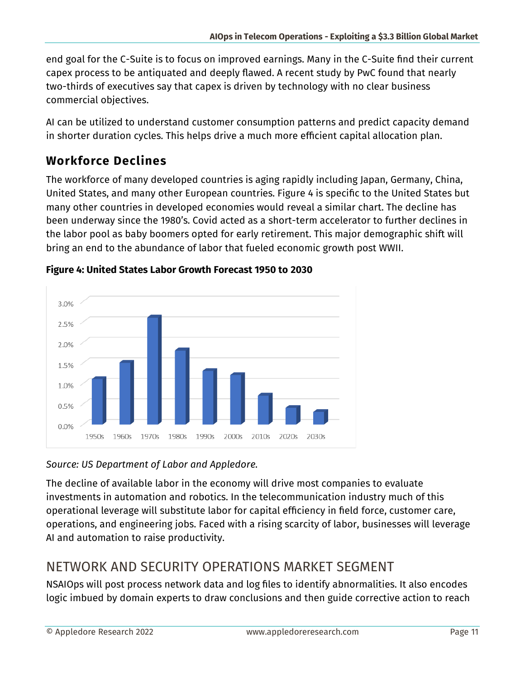end goal for the C-Suite is to focus on improved earnings. Many in the C-Suite find their current capex process to be antiquated and deeply flawed. A recent study by PwC found that nearly two-thirds of executives say that capex is driven by technology with no clear business commercial objectives.

AI can be utilized to understand customer consumption patterns and predict capacity demand in shorter duration cycles. This helps drive a much more efficient capital allocation plan.

# <span id="page-10-0"></span>**Workforce Declines**

The workforce of many developed countries is aging rapidly including Japan, Germany, China, United States, and many other European countries. Figure 4 is specific to the United States but many other countries in developed economies would reveal a similar chart. The decline has been underway since the 1980's. Covid acted as a short-term accelerator to further declines in the labor pool as baby boomers opted for early retirement. This major demographic shift will bring an end to the abundance of labor that fueled economic growth post WWII.



#### **Figure 4: United States Labor Growth Forecast 1950 to 2030**

#### *Source: US Department of Labor and Appledore.*

The decline of available labor in the economy will drive most companies to evaluate investments in automation and robotics. In the telecommunication industry much of this operational leverage will substitute labor for capital efficiency in field force, customer care, operations, and engineering jobs. Faced with a rising scarcity of labor, businesses will leverage AI and automation to raise productivity.

# <span id="page-10-1"></span>NETWORK AND SECURITY OPERATIONS MARKET SEGMENT

NSAIOps will post process network data and log files to identify abnormalities. It also encodes logic imbued by domain experts to draw conclusions and then guide corrective action to reach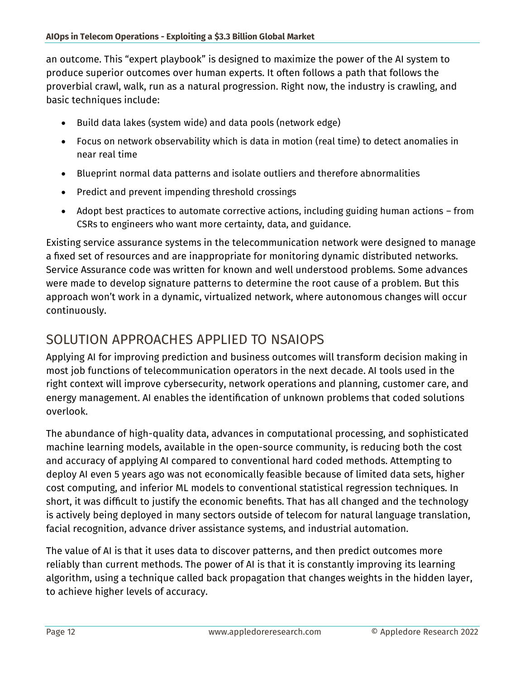an outcome. This "expert playbook" is designed to maximize the power of the AI system to produce superior outcomes over human experts. It often follows a path that follows the proverbial crawl, walk, run as a natural progression. Right now, the industry is crawling, and basic techniques include:

- Build data lakes (system wide) and data pools (network edge)
- Focus on network observability which is data in motion (real time) to detect anomalies in near real time
- Blueprint normal data patterns and isolate outliers and therefore abnormalities
- Predict and prevent impending threshold crossings
- Adopt best practices to automate corrective actions, including guiding human actions from CSRs to engineers who want more certainty, data, and guidance.

Existing service assurance systems in the telecommunication network were designed to manage a fixed set of resources and are inappropriate for monitoring dynamic distributed networks. Service Assurance code was written for known and well understood problems. Some advances were made to develop signature patterns to determine the root cause of a problem. But this approach won't work in a dynamic, virtualized network, where autonomous changes will occur continuously.

# <span id="page-11-0"></span>SOLUTION APPROACHES APPLIED TO NSAIOPS

Applying AI for improving prediction and business outcomes will transform decision making in most job functions of telecommunication operators in the next decade. AI tools used in the right context will improve cybersecurity, network operations and planning, customer care, and energy management. AI enables the identification of unknown problems that coded solutions overlook.

The abundance of high-quality data, advances in computational processing, and sophisticated machine learning models, available in the open-source community, is reducing both the cost and accuracy of applying AI compared to conventional hard coded methods. Attempting to deploy AI even 5 years ago was not economically feasible because of limited data sets, higher cost computing, and inferior ML models to conventional statistical regression techniques. In short, it was difficult to justify the economic benefits. That has all changed and the technology is actively being deployed in many sectors outside of telecom for natural language translation, facial recognition, advance driver assistance systems, and industrial automation.

The value of AI is that it uses data to discover patterns, and then predict outcomes more reliably than current methods. The power of AI is that it is constantly improving its learning algorithm, using a technique called back propagation that changes weights in the hidden layer, to achieve higher levels of accuracy.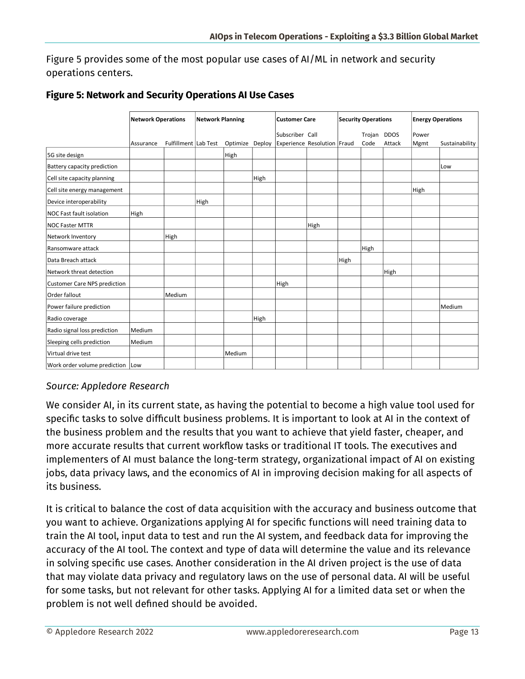Figure 5 provides some of the most popular use cases of AI/ML in network and security operations centers.

|                                  | <b>Network Operations</b> |        | <b>Network Planning</b> |        | <b>Customer Care</b> |                                                                  | <b>Security Operations</b> |      |             | <b>Energy Operations</b> |       |                |
|----------------------------------|---------------------------|--------|-------------------------|--------|----------------------|------------------------------------------------------------------|----------------------------|------|-------------|--------------------------|-------|----------------|
|                                  |                           |        |                         |        |                      | Subscriber Call                                                  |                            |      | Trojan DDOS |                          | Power |                |
|                                  | Assurance                 |        |                         |        |                      | Fulfillment Lab Test Optimize Deploy Experience Resolution Fraud |                            |      | Code        | Attack                   | Mgmt  | Sustainability |
| 5G site design                   |                           |        |                         | High   |                      |                                                                  |                            |      |             |                          |       |                |
| Battery capacity prediction      |                           |        |                         |        |                      |                                                                  |                            |      |             |                          |       | Low            |
| Cell site capacity planning      |                           |        |                         |        | High                 |                                                                  |                            |      |             |                          |       |                |
| Cell site energy management      |                           |        |                         |        |                      |                                                                  |                            |      |             |                          | High  |                |
| Device interoperability          |                           |        | High                    |        |                      |                                                                  |                            |      |             |                          |       |                |
| NOC Fast fault isolation         | High                      |        |                         |        |                      |                                                                  |                            |      |             |                          |       |                |
| <b>NOC Faster MTTR</b>           |                           |        |                         |        |                      |                                                                  | High                       |      |             |                          |       |                |
| Network Inventory                |                           | High   |                         |        |                      |                                                                  |                            |      |             |                          |       |                |
| Ransomware attack                |                           |        |                         |        |                      |                                                                  |                            |      | High        |                          |       |                |
| Data Breach attack               |                           |        |                         |        |                      |                                                                  |                            | High |             |                          |       |                |
| Network threat detection         |                           |        |                         |        |                      |                                                                  |                            |      |             | High                     |       |                |
| Customer Care NPS prediction     |                           |        |                         |        |                      | High                                                             |                            |      |             |                          |       |                |
| Order fallout                    |                           | Medium |                         |        |                      |                                                                  |                            |      |             |                          |       |                |
| Power failure prediction         |                           |        |                         |        |                      |                                                                  |                            |      |             |                          |       | Medium         |
| Radio coverage                   |                           |        |                         |        | High                 |                                                                  |                            |      |             |                          |       |                |
| Radio signal loss prediction     | Medium                    |        |                         |        |                      |                                                                  |                            |      |             |                          |       |                |
| Sleeping cells prediction        | Medium                    |        |                         |        |                      |                                                                  |                            |      |             |                          |       |                |
| Virtual drive test               |                           |        |                         | Medium |                      |                                                                  |                            |      |             |                          |       |                |
| Work order volume prediction Low |                           |        |                         |        |                      |                                                                  |                            |      |             |                          |       |                |

#### **Figure 5: Network and Security Operations AI Use Cases**

#### *Source: Appledore Research*

We consider AI, in its current state, as having the potential to become a high value tool used for specific tasks to solve difficult business problems. It is important to look at AI in the context of the business problem and the results that you want to achieve that yield faster, cheaper, and more accurate results that current workflow tasks or traditional IT tools. The executives and implementers of AI must balance the long-term strategy, organizational impact of AI on existing jobs, data privacy laws, and the economics of AI in improving decision making for all aspects of its business.

It is critical to balance the cost of data acquisition with the accuracy and business outcome that you want to achieve. Organizations applying AI for specific functions will need training data to train the AI tool, input data to test and run the AI system, and feedback data for improving the accuracy of the AI tool. The context and type of data will determine the value and its relevance in solving specific use cases. Another consideration in the AI driven project is the use of data that may violate data privacy and regulatory laws on the use of personal data. AI will be useful for some tasks, but not relevant for other tasks. Applying AI for a limited data set or when the problem is not well defined should be avoided.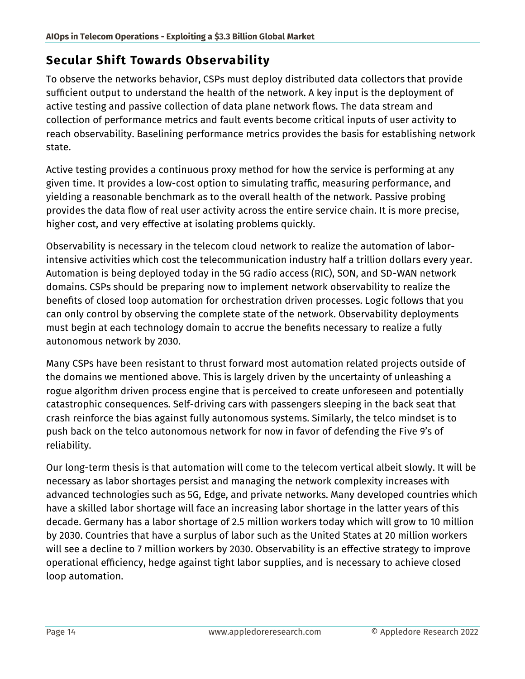#### <span id="page-13-0"></span>**Secular Shift Towards Observability**

To observe the networks behavior, CSPs must deploy distributed data collectors that provide sufficient output to understand the health of the network. A key input is the deployment of active testing and passive collection of data plane network flows. The data stream and collection of performance metrics and fault events become critical inputs of user activity to reach observability. Baselining performance metrics provides the basis for establishing network state.

Active testing provides a continuous proxy method for how the service is performing at any given time. It provides a low-cost option to simulating traffic, measuring performance, and yielding a reasonable benchmark as to the overall health of the network. Passive probing provides the data flow of real user activity across the entire service chain. It is more precise, higher cost, and very effective at isolating problems quickly.

Observability is necessary in the telecom cloud network to realize the automation of laborintensive activities which cost the telecommunication industry half a trillion dollars every year. Automation is being deployed today in the 5G radio access (RIC), SON, and SD-WAN network domains. CSPs should be preparing now to implement network observability to realize the benefits of closed loop automation for orchestration driven processes. Logic follows that you can only control by observing the complete state of the network. Observability deployments must begin at each technology domain to accrue the benefits necessary to realize a fully autonomous network by 2030.

Many CSPs have been resistant to thrust forward most automation related projects outside of the domains we mentioned above. This is largely driven by the uncertainty of unleashing a rogue algorithm driven process engine that is perceived to create unforeseen and potentially catastrophic consequences. Self-driving cars with passengers sleeping in the back seat that crash reinforce the bias against fully autonomous systems. Similarly, the telco mindset is to push back on the telco autonomous network for now in favor of defending the Five 9's of reliability.

Our long-term thesis is that automation will come to the telecom vertical albeit slowly. It will be necessary as labor shortages persist and managing the network complexity increases with advanced technologies such as 5G, Edge, and private networks. Many developed countries which have a skilled labor shortage will face an increasing labor shortage in the latter years of this decade. Germany has a labor shortage of 2.5 million workers today which will grow to 10 million by 2030. Countries that have a surplus of labor such as the United States at 20 million workers will see a decline to 7 million workers by 2030. Observability is an effective strategy to improve operational efficiency, hedge against tight labor supplies, and is necessary to achieve closed loop automation.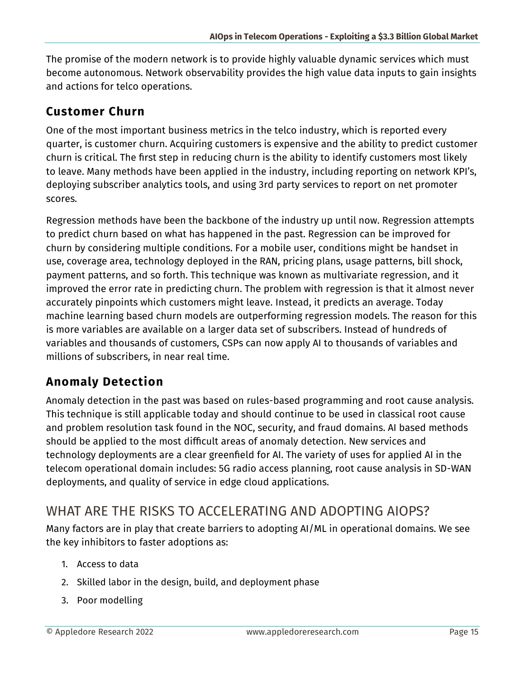The promise of the modern network is to provide highly valuable dynamic services which must become autonomous. Network observability provides the high value data inputs to gain insights and actions for telco operations.

#### <span id="page-14-0"></span>**Customer Churn**

One of the most important business metrics in the telco industry, which is reported every quarter, is customer churn. Acquiring customers is expensive and the ability to predict customer churn is critical. The first step in reducing churn is the ability to identify customers most likely to leave. Many methods have been applied in the industry, including reporting on network KPI's, deploying subscriber analytics tools, and using 3rd party services to report on net promoter scores.

Regression methods have been the backbone of the industry up until now. Regression attempts to predict churn based on what has happened in the past. Regression can be improved for churn by considering multiple conditions. For a mobile user, conditions might be handset in use, coverage area, technology deployed in the RAN, pricing plans, usage patterns, bill shock, payment patterns, and so forth. This technique was known as multivariate regression, and it improved the error rate in predicting churn. The problem with regression is that it almost never accurately pinpoints which customers might leave. Instead, it predicts an average. Today machine learning based churn models are outperforming regression models. The reason for this is more variables are available on a larger data set of subscribers. Instead of hundreds of variables and thousands of customers, CSPs can now apply AI to thousands of variables and millions of subscribers, in near real time.

## <span id="page-14-1"></span>**Anomaly Detection**

Anomaly detection in the past was based on rules-based programming and root cause analysis. This technique is still applicable today and should continue to be used in classical root cause and problem resolution task found in the NOC, security, and fraud domains. AI based methods should be applied to the most difficult areas of anomaly detection. New services and technology deployments are a clear greenfield for AI. The variety of uses for applied AI in the telecom operational domain includes: 5G radio access planning, root cause analysis in SD-WAN deployments, and quality of service in edge cloud applications.

# <span id="page-14-2"></span>WHAT ARE THE RISKS TO ACCELERATING AND ADOPTING AIOPS?

Many factors are in play that create barriers to adopting AI/ML in operational domains. We see the key inhibitors to faster adoptions as:

- 1. Access to data
- 2. Skilled labor in the design, build, and deployment phase
- 3. Poor modelling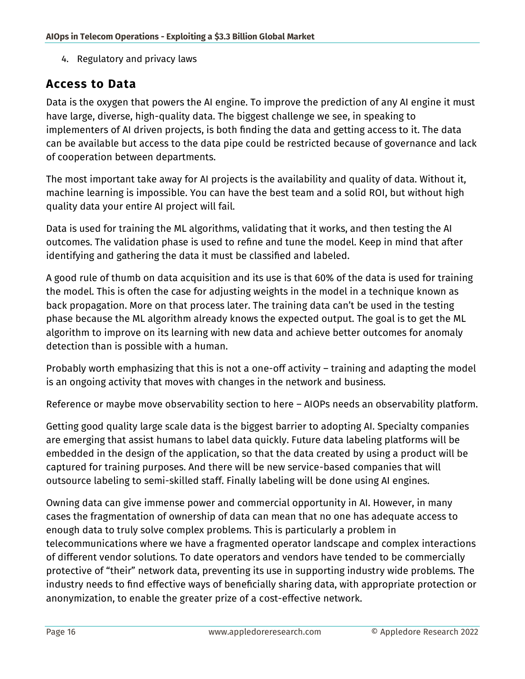4. Regulatory and privacy laws

#### <span id="page-15-0"></span>**Access to Data**

Data is the oxygen that powers the AI engine. To improve the prediction of any AI engine it must have large, diverse, high-quality data. The biggest challenge we see, in speaking to implementers of AI driven projects, is both finding the data and getting access to it. The data can be available but access to the data pipe could be restricted because of governance and lack of cooperation between departments.

The most important take away for AI projects is the availability and quality of data. Without it, machine learning is impossible. You can have the best team and a solid ROI, but without high quality data your entire AI project will fail.

Data is used for training the ML algorithms, validating that it works, and then testing the AI outcomes. The validation phase is used to refine and tune the model. Keep in mind that after identifying and gathering the data it must be classified and labeled.

A good rule of thumb on data acquisition and its use is that 60% of the data is used for training the model. This is often the case for adjusting weights in the model in a technique known as back propagation. More on that process later. The training data can't be used in the testing phase because the ML algorithm already knows the expected output. The goal is to get the ML algorithm to improve on its learning with new data and achieve better outcomes for anomaly detection than is possible with a human.

Probably worth emphasizing that this is not a one-off activity – training and adapting the model is an ongoing activity that moves with changes in the network and business.

Reference or maybe move observability section to here – AIOPs needs an observability platform.

Getting good quality large scale data is the biggest barrier to adopting AI. Specialty companies are emerging that assist humans to label data quickly. Future data labeling platforms will be embedded in the design of the application, so that the data created by using a product will be captured for training purposes. And there will be new service-based companies that will outsource labeling to semi-skilled staff. Finally labeling will be done using AI engines.

Owning data can give immense power and commercial opportunity in AI. However, in many cases the fragmentation of ownership of data can mean that no one has adequate access to enough data to truly solve complex problems. This is particularly a problem in telecommunications where we have a fragmented operator landscape and complex interactions of different vendor solutions. To date operators and vendors have tended to be commercially protective of "their" network data, preventing its use in supporting industry wide problems. The industry needs to find effective ways of beneficially sharing data, with appropriate protection or anonymization, to enable the greater prize of a cost-effective network.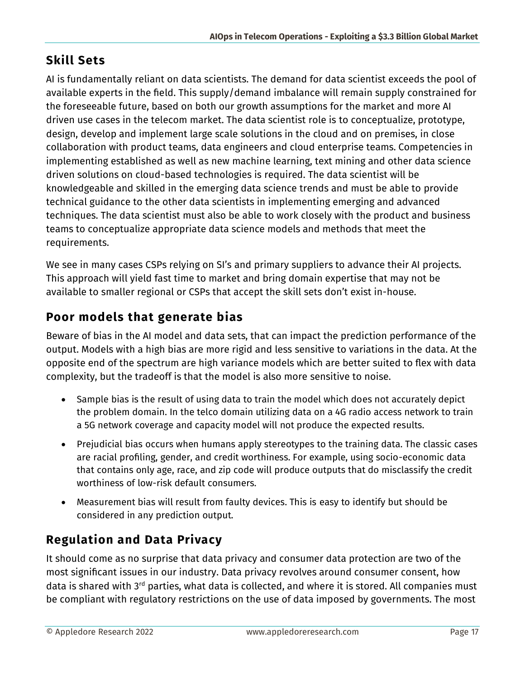# <span id="page-16-0"></span>**Skill Sets**

AI is fundamentally reliant on data scientists. The demand for data scientist exceeds the pool of available experts in the field. This supply/demand imbalance will remain supply constrained for the foreseeable future, based on both our growth assumptions for the market and more AI driven use cases in the telecom market. The data scientist role is to conceptualize, prototype, design, develop and implement large scale solutions in the cloud and on premises, in close collaboration with product teams, data engineers and cloud enterprise teams. Competencies in implementing established as well as new machine learning, text mining and other data science driven solutions on cloud-based technologies is required. The data scientist will be knowledgeable and skilled in the emerging data science trends and must be able to provide technical guidance to the other data scientists in implementing emerging and advanced techniques. The data scientist must also be able to work closely with the product and business teams to conceptualize appropriate data science models and methods that meet the requirements.

We see in many cases CSPs relying on SI's and primary suppliers to advance their AI projects. This approach will yield fast time to market and bring domain expertise that may not be available to smaller regional or CSPs that accept the skill sets don't exist in-house.

# <span id="page-16-1"></span>**Poor models that generate bias**

Beware of bias in the AI model and data sets, that can impact the prediction performance of the output. Models with a high bias are more rigid and less sensitive to variations in the data. At the opposite end of the spectrum are high variance models which are better suited to flex with data complexity, but the tradeoff is that the model is also more sensitive to noise.

- Sample bias is the result of using data to train the model which does not accurately depict the problem domain. In the telco domain utilizing data on a 4G radio access network to train a 5G network coverage and capacity model will not produce the expected results.
- Prejudicial bias occurs when humans apply stereotypes to the training data. The classic cases are racial profiling, gender, and credit worthiness. For example, using socio-economic data that contains only age, race, and zip code will produce outputs that do misclassify the credit worthiness of low-risk default consumers.
- Measurement bias will result from faulty devices. This is easy to identify but should be considered in any prediction output.

# <span id="page-16-2"></span>**Regulation and Data Privacy**

It should come as no surprise that data privacy and consumer data protection are two of the most significant issues in our industry. Data privacy revolves around consumer consent, how data is shared with 3<sup>rd</sup> parties, what data is collected, and where it is stored. All companies must be compliant with regulatory restrictions on the use of data imposed by governments. The most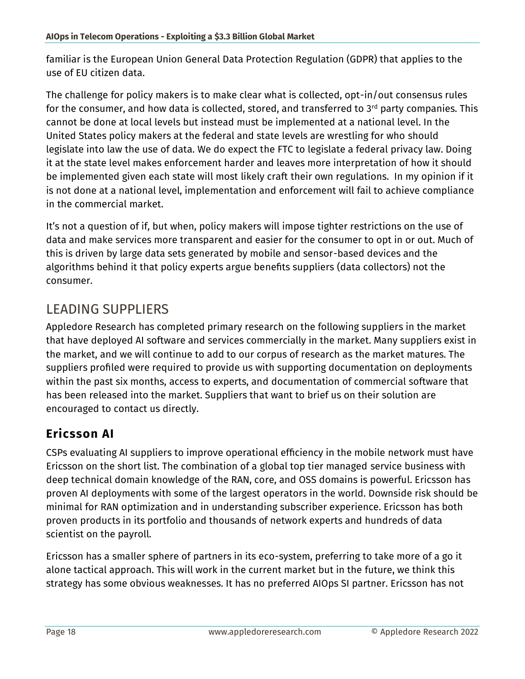familiar is the European Union General Data Protection Regulation (GDPR) that applies to the use of EU citizen data.

The challenge for policy makers is to make clear what is collected, opt-in/out consensus rules for the consumer, and how data is collected, stored, and transferred to  $3<sup>rd</sup>$  party companies. This cannot be done at local levels but instead must be implemented at a national level. In the United States policy makers at the federal and state levels are wrestling for who should legislate into law the use of data. We do expect the FTC to legislate a federal privacy law. Doing it at the state level makes enforcement harder and leaves more interpretation of how it should be implemented given each state will most likely craft their own regulations. In my opinion if it is not done at a national level, implementation and enforcement will fail to achieve compliance in the commercial market.

It's not a question of if, but when, policy makers will impose tighter restrictions on the use of data and make services more transparent and easier for the consumer to opt in or out. Much of this is driven by large data sets generated by mobile and sensor-based devices and the algorithms behind it that policy experts argue benefits suppliers (data collectors) not the consumer.

# <span id="page-17-0"></span>LEADING SUPPLIERS

Appledore Research has completed primary research on the following suppliers in the market that have deployed AI software and services commercially in the market. Many suppliers exist in the market, and we will continue to add to our corpus of research as the market matures. The suppliers profiled were required to provide us with supporting documentation on deployments within the past six months, access to experts, and documentation of commercial software that has been released into the market. Suppliers that want to brief us on their solution are encouraged to contact us directly.

## <span id="page-17-1"></span>**Ericsson AI**

CSPs evaluating AI suppliers to improve operational efficiency in the mobile network must have Ericsson on the short list. The combination of a global top tier managed service business with deep technical domain knowledge of the RAN, core, and OSS domains is powerful. Ericsson has proven AI deployments with some of the largest operators in the world. Downside risk should be minimal for RAN optimization and in understanding subscriber experience. Ericsson has both proven products in its portfolio and thousands of network experts and hundreds of data scientist on the payroll.

Ericsson has a smaller sphere of partners in its eco-system, preferring to take more of a go it alone tactical approach. This will work in the current market but in the future, we think this strategy has some obvious weaknesses. It has no preferred AIOps SI partner. Ericsson has not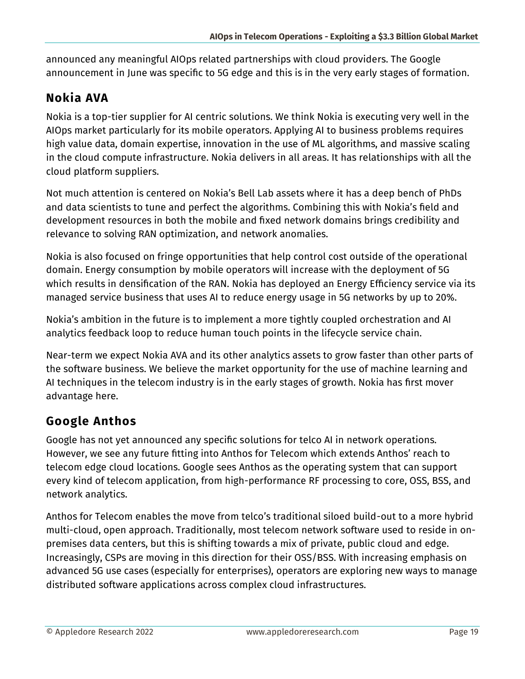announced any meaningful AIOps related partnerships with cloud providers. The Google announcement in June was specific to 5G edge and this is in the very early stages of formation.

## <span id="page-18-0"></span>**Nokia AVA**

Nokia is a top-tier supplier for AI centric solutions. We think Nokia is executing very well in the AIOps market particularly for its mobile operators. Applying AI to business problems requires high value data, domain expertise, innovation in the use of ML algorithms, and massive scaling in the cloud compute infrastructure. Nokia delivers in all areas. It has relationships with all the cloud platform suppliers.

Not much attention is centered on Nokia's Bell Lab assets where it has a deep bench of PhDs and data scientists to tune and perfect the algorithms. Combining this with Nokia's field and development resources in both the mobile and fixed network domains brings credibility and relevance to solving RAN optimization, and network anomalies.

Nokia is also focused on fringe opportunities that help control cost outside of the operational domain. Energy consumption by mobile operators will increase with the deployment of 5G which results in densification of the RAN. Nokia has deployed an Energy Efficiency service via its managed service business that uses AI to reduce energy usage in 5G networks by up to 20%.

Nokia's ambition in the future is to implement a more tightly coupled orchestration and AI analytics feedback loop to reduce human touch points in the lifecycle service chain.

Near-term we expect Nokia AVA and its other analytics assets to grow faster than other parts of the software business. We believe the market opportunity for the use of machine learning and AI techniques in the telecom industry is in the early stages of growth. Nokia has first mover advantage here.

## <span id="page-18-1"></span>**Google Anthos**

Google has not yet announced any specific solutions for telco AI in network operations. However, we see any future fitting into Anthos for Telecom which extends Anthos' reach to telecom edge cloud locations. Google sees Anthos as the operating system that can support every kind of telecom application, from high-performance RF processing to core, OSS, BSS, and network analytics.

Anthos for Telecom enables the move from telco's traditional siloed build-out to a more hybrid multi-cloud, open approach. Traditionally, most telecom network software used to reside in onpremises data centers, but this is shifting towards a mix of private, public cloud and edge. Increasingly, CSPs are moving in this direction for their OSS/BSS. With increasing emphasis on advanced 5G use cases (especially for enterprises), operators are exploring new ways to manage distributed software applications across complex cloud infrastructures.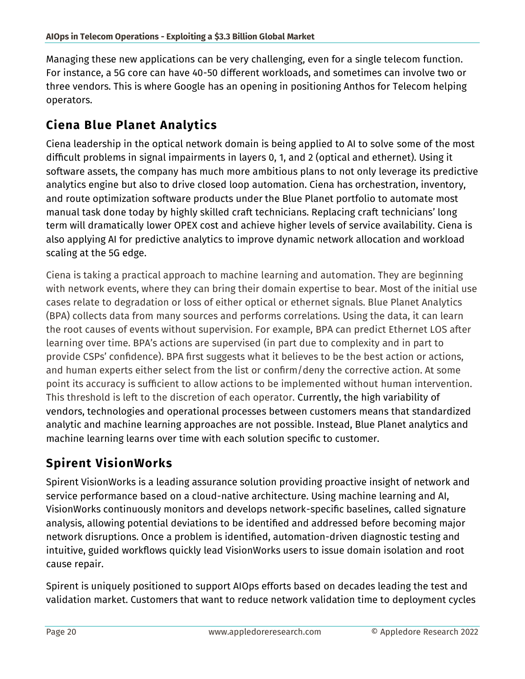Managing these new applications can be very challenging, even for a single telecom function. For instance, a 5G core can have 40-50 different workloads, and sometimes can involve two or three vendors. This is where Google has an opening in positioning Anthos for Telecom helping operators.

### <span id="page-19-0"></span>**Ciena Blue Planet Analytics**

Ciena leadership in the optical network domain is being applied to AI to solve some of the most difficult problems in signal impairments in layers 0, 1, and 2 (optical and ethernet). Using it software assets, the company has much more ambitious plans to not only leverage its predictive analytics engine but also to drive closed loop automation. Ciena has orchestration, inventory, and route optimization software products under the Blue Planet portfolio to automate most manual task done today by highly skilled craft technicians. Replacing craft technicians' long term will dramatically lower OPEX cost and achieve higher levels of service availability. Ciena is also applying AI for predictive analytics to improve dynamic network allocation and workload scaling at the 5G edge.

Ciena is taking a practical approach to machine learning and automation. They are beginning with network events, where they can bring their domain expertise to bear. Most of the initial use cases relate to degradation or loss of either optical or ethernet signals. Blue Planet Analytics (BPA) collects data from many sources and performs correlations. Using the data, it can learn the root causes of events without supervision. For example, BPA can predict Ethernet LOS after learning over time. BPA's actions are supervised (in part due to complexity and in part to provide CSPs' confidence). BPA first suggests what it believes to be the best action or actions, and human experts either select from the list or confirm/deny the corrective action. At some point its accuracy is sufficient to allow actions to be implemented without human intervention. This threshold is left to the discretion of each operator. Currently, the high variability of vendors, technologies and operational processes between customers means that standardized analytic and machine learning approaches are not possible. Instead, Blue Planet analytics and machine learning learns over time with each solution specific to customer.

# <span id="page-19-1"></span>**Spirent VisionWorks**

Spirent VisionWorks is a leading assurance solution providing proactive insight of network and service performance based on a cloud-native architecture. Using machine learning and AI, VisionWorks continuously monitors and develops network-specific baselines, called signature analysis, allowing potential deviations to be identified and addressed before becoming major network disruptions. Once a problem is identified, automation-driven diagnostic testing and intuitive, guided workflows quickly lead VisionWorks users to issue domain isolation and root cause repair.

Spirent is uniquely positioned to support AIOps efforts based on decades leading the test and validation market. Customers that want to reduce network validation time to deployment cycles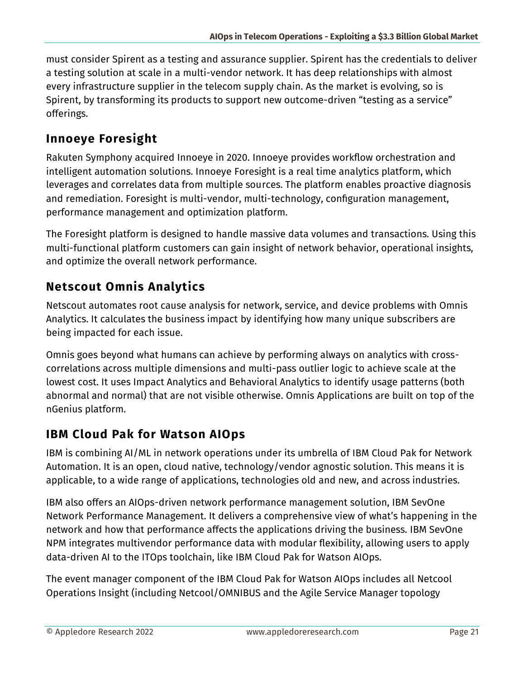must consider Spirent as a testing and assurance supplier. Spirent has the credentials to deliver a testing solution at scale in a multi-vendor network. It has deep relationships with almost every infrastructure supplier in the telecom supply chain. As the market is evolving, so is Spirent, by transforming its products to support new outcome-driven "testing as a service" offerings.

## <span id="page-20-0"></span>**Innoeye Foresight**

Rakuten Symphony acquired Innoeye in 2020. Innoeye provides workflow orchestration and intelligent automation solutions. Innoeye Foresight is a real time analytics platform, which leverages and correlates data from multiple sources. The platform enables proactive diagnosis and remediation. Foresight is multi-vendor, multi-technology, configuration management, performance management and optimization platform.

The Foresight platform is designed to handle massive data volumes and transactions. Using this multi-functional platform customers can gain insight of network behavior, operational insights, and optimize the overall network performance.

# <span id="page-20-1"></span>**Netscout Omnis Analytics**

Netscout automates root cause analysis for network, service, and device problems with Omnis Analytics. It calculates the business impact by identifying how many unique subscribers are being impacted for each issue.

Omnis goes beyond what humans can achieve by performing always on analytics with crosscorrelations across multiple dimensions and multi-pass outlier logic to achieve scale at the lowest cost. It uses Impact Analytics and Behavioral Analytics to identify usage patterns (both abnormal and normal) that are not visible otherwise. Omnis Applications are built on top of the nGenius platform.

# <span id="page-20-2"></span>**IBM Cloud Pak for Watson AIOps**

IBM is combining AI/ML in network operations under its umbrella of IBM Cloud Pak for Network Automation. It is an open, cloud native, technology/vendor agnostic solution. This means it is applicable, to a wide range of applications, technologies old and new, and across industries.

IBM also offers an AIOps-driven network performance management solution, IBM SevOne Network Performance Management. It delivers a comprehensive view of what's happening in the network and how that performance affects the applications driving the business. IBM SevOne NPM integrates multivendor performance data with modular flexibility, allowing users to apply data-driven AI to the ITOps toolchain, like IBM Cloud Pak for Watson AIOps.

The event manager component of the IBM Cloud Pak for Watson AIOps includes all Netcool Operations Insight (including Netcool/OMNIBUS and the Agile Service Manager topology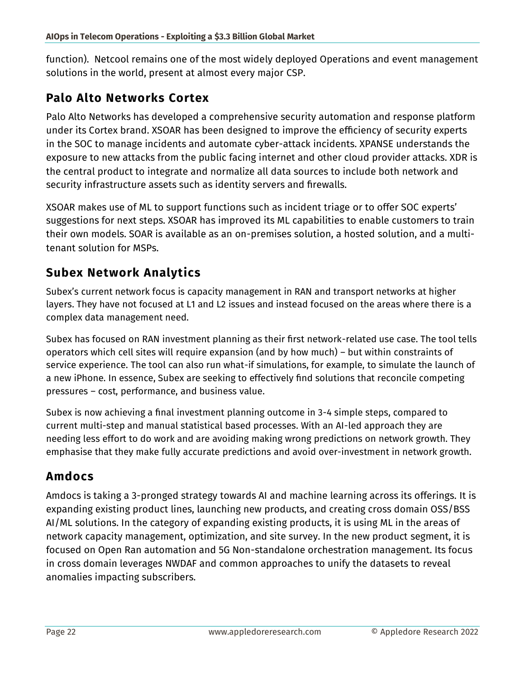function). Netcool remains one of the most widely deployed Operations and event management solutions in the world, present at almost every major CSP.

#### <span id="page-21-0"></span>**Palo Alto Networks Cortex**

Palo Alto Networks has developed a comprehensive security automation and response platform under its Cortex brand. XSOAR has been designed to improve the efficiency of security experts in the SOC to manage incidents and automate cyber-attack incidents. XPANSE understands the exposure to new attacks from the public facing internet and other cloud provider attacks. XDR is the central product to integrate and normalize all data sources to include both network and security infrastructure assets such as identity servers and firewalls.

XSOAR makes use of ML to support functions such as incident triage or to offer SOC experts' suggestions for next steps. XSOAR has improved its ML capabilities to enable customers to train their own models. SOAR is available as an on-premises solution, a hosted solution, and a multitenant solution for MSPs.

## <span id="page-21-1"></span>**Subex Network Analytics**

Subex's current network focus is capacity management in RAN and transport networks at higher layers. They have not focused at L1 and L2 issues and instead focused on the areas where there is a complex data management need.

Subex has focused on RAN investment planning as their first network-related use case. The tool tells operators which cell sites will require expansion (and by how much) – but within constraints of service experience. The tool can also run what-if simulations, for example, to simulate the launch of a new iPhone. In essence, Subex are seeking to effectively find solutions that reconcile competing pressures – cost, performance, and business value.

Subex is now achieving a final investment planning outcome in 3-4 simple steps, compared to current multi-step and manual statistical based processes. With an AI-led approach they are needing less effort to do work and are avoiding making wrong predictions on network growth. They emphasise that they make fully accurate predictions and avoid over-investment in network growth.

## <span id="page-21-2"></span>**Amdocs**

Amdocs is taking a 3-pronged strategy towards AI and machine learning across its offerings. It is expanding existing product lines, launching new products, and creating cross domain OSS/BSS AI/ML solutions. In the category of expanding existing products, it is using ML in the areas of network capacity management, optimization, and site survey. In the new product segment, it is focused on Open Ran automation and 5G Non-standalone orchestration management. Its focus in cross domain leverages NWDAF and common approaches to unify the datasets to reveal anomalies impacting subscribers.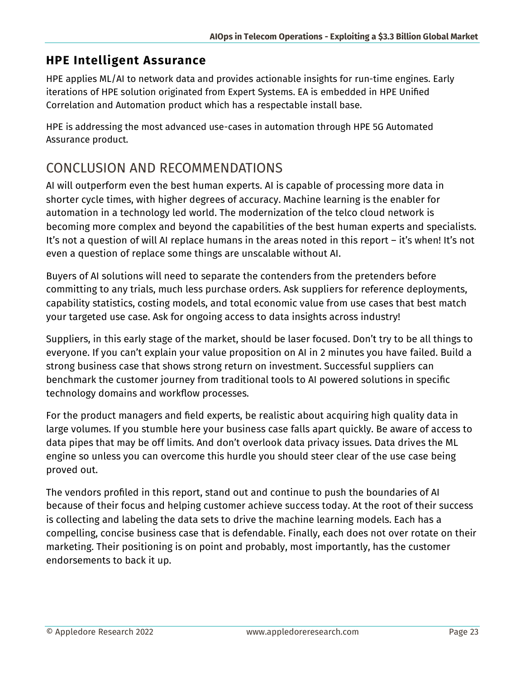## <span id="page-22-0"></span>**HPE Intelligent Assurance**

HPE applies ML/AI to network data and provides actionable insights for run-time engines. Early iterations of HPE solution originated from Expert Systems. EA is embedded in HPE Unified Correlation and Automation product which has a respectable install base.

HPE is addressing the most advanced use-cases in automation through HPE 5G Automated Assurance product.

# <span id="page-22-1"></span>CONCLUSION AND RECOMMENDATIONS

AI will outperform even the best human experts. AI is capable of processing more data in shorter cycle times, with higher degrees of accuracy. Machine learning is the enabler for automation in a technology led world. The modernization of the telco cloud network is becoming more complex and beyond the capabilities of the best human experts and specialists. It's not a question of will AI replace humans in the areas noted in this report – it's when! It's not even a question of replace some things are unscalable without AI.

Buyers of AI solutions will need to separate the contenders from the pretenders before committing to any trials, much less purchase orders. Ask suppliers for reference deployments, capability statistics, costing models, and total economic value from use cases that best match your targeted use case. Ask for ongoing access to data insights across industry!

Suppliers, in this early stage of the market, should be laser focused. Don't try to be all things to everyone. If you can't explain your value proposition on AI in 2 minutes you have failed. Build a strong business case that shows strong return on investment. Successful suppliers can benchmark the customer journey from traditional tools to AI powered solutions in specific technology domains and workflow processes.

For the product managers and field experts, be realistic about acquiring high quality data in large volumes. If you stumble here your business case falls apart quickly. Be aware of access to data pipes that may be off limits. And don't overlook data privacy issues. Data drives the ML engine so unless you can overcome this hurdle you should steer clear of the use case being proved out.

The vendors profiled in this report, stand out and continue to push the boundaries of AI because of their focus and helping customer achieve success today. At the root of their success is collecting and labeling the data sets to drive the machine learning models. Each has a compelling, concise business case that is defendable. Finally, each does not over rotate on their marketing. Their positioning is on point and probably, most importantly, has the customer endorsements to back it up.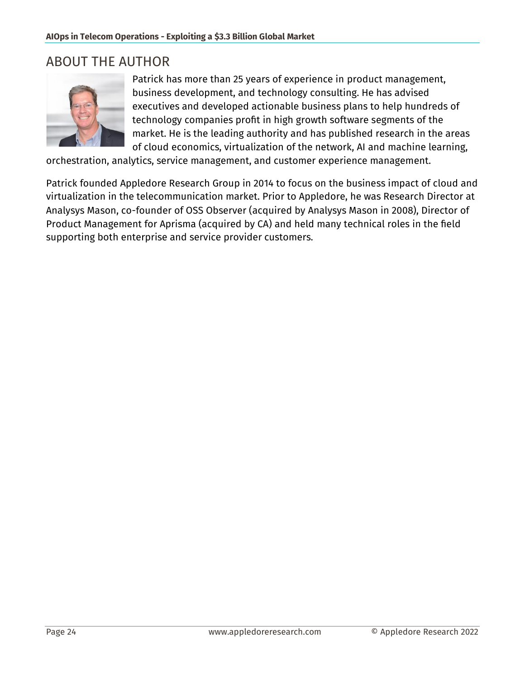# <span id="page-23-0"></span>ABOUT THE AUTHOR



Patrick has more than 25 years of experience in product management, business development, and technology consulting. He has advised executives and developed actionable business plans to help hundreds of technology companies profit in high growth software segments of the market. He is the leading authority and has published research in the areas of cloud economics, virtualization of the network, AI and machine learning,

orchestration, analytics, service management, and customer experience management.

Patrick founded Appledore Research Group in 2014 to focus on the business impact of cloud and virtualization in the telecommunication market. Prior to Appledore, he was Research Director at Analysys Mason, co-founder of OSS Observer (acquired by Analysys Mason in 2008), Director of Product Management for Aprisma (acquired by CA) and held many technical roles in the field supporting both enterprise and service provider customers.